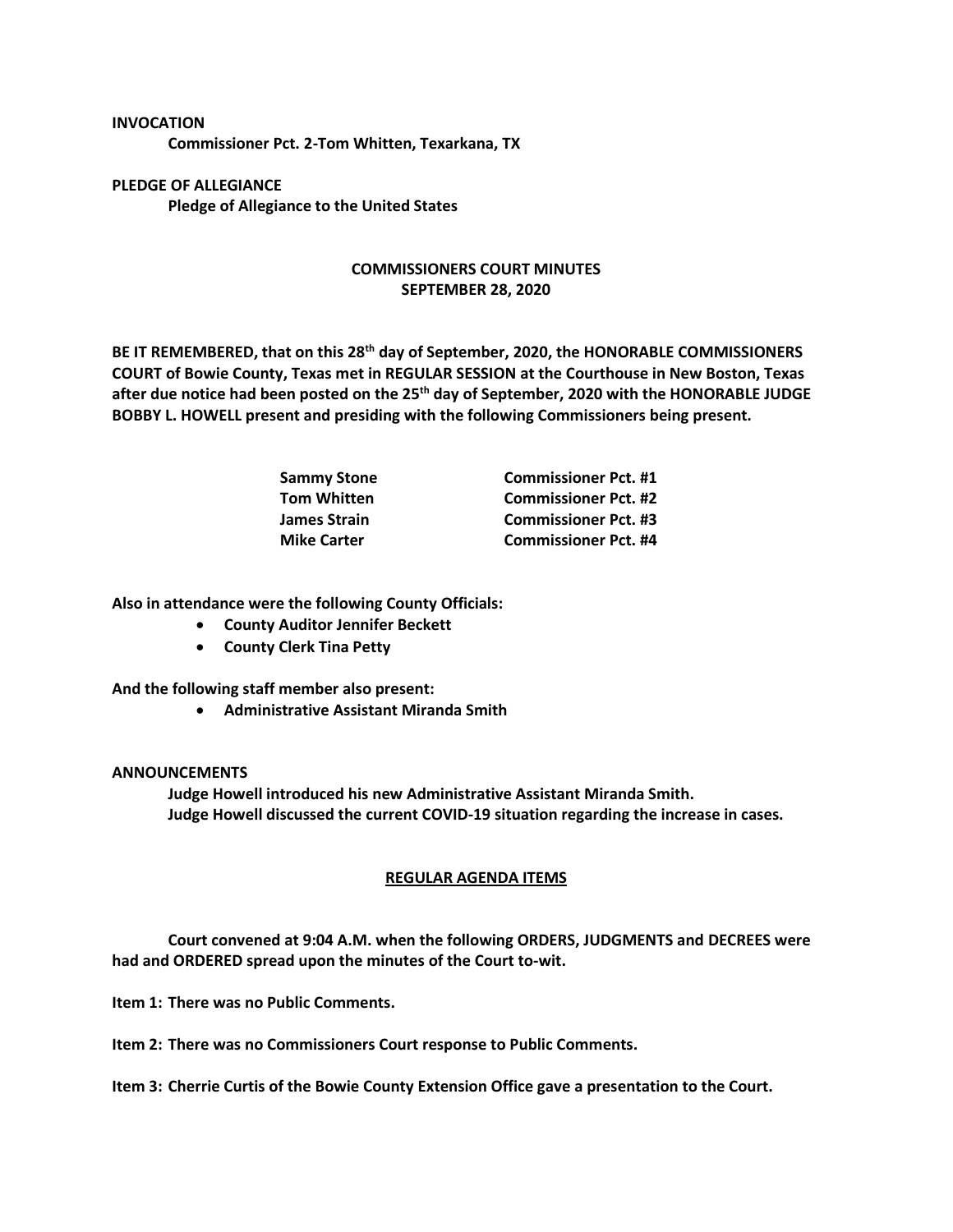## **INVOCATION Commissioner Pct. 2-Tom Whitten, Texarkana, TX**

**PLEDGE OF ALLEGIANCE Pledge of Allegiance to the United States**

## **COMMISSIONERS COURT MINUTES SEPTEMBER 28, 2020**

**BE IT REMEMBERED, that on this 28th day of September, 2020, the HONORABLE COMMISSIONERS COURT of Bowie County, Texas met in REGULAR SESSION at the Courthouse in New Boston, Texas after due notice had been posted on the 25th day of September, 2020 with the HONORABLE JUDGE BOBBY L. HOWELL present and presiding with the following Commissioners being present.**

| <b>Sammy Stone</b>  | <b>Commissioner Pct. #1</b> |
|---------------------|-----------------------------|
| <b>Tom Whitten</b>  | <b>Commissioner Pct. #2</b> |
| <b>James Strain</b> | <b>Commissioner Pct. #3</b> |
| <b>Mike Carter</b>  | <b>Commissioner Pct. #4</b> |

**Also in attendance were the following County Officials:**

- **County Auditor Jennifer Beckett**
- **County Clerk Tina Petty**

**And the following staff member also present:**

• **Administrative Assistant Miranda Smith**

## **ANNOUNCEMENTS**

**Judge Howell introduced his new Administrative Assistant Miranda Smith. Judge Howell discussed the current COVID-19 situation regarding the increase in cases.**

## **REGULAR AGENDA ITEMS**

**Court convened at 9:04 A.M. when the following ORDERS, JUDGMENTS and DECREES were had and ORDERED spread upon the minutes of the Court to-wit.**

**Item 1: There was no Public Comments.**

**Item 2: There was no Commissioners Court response to Public Comments.**

**Item 3: Cherrie Curtis of the Bowie County Extension Office gave a presentation to the Court.**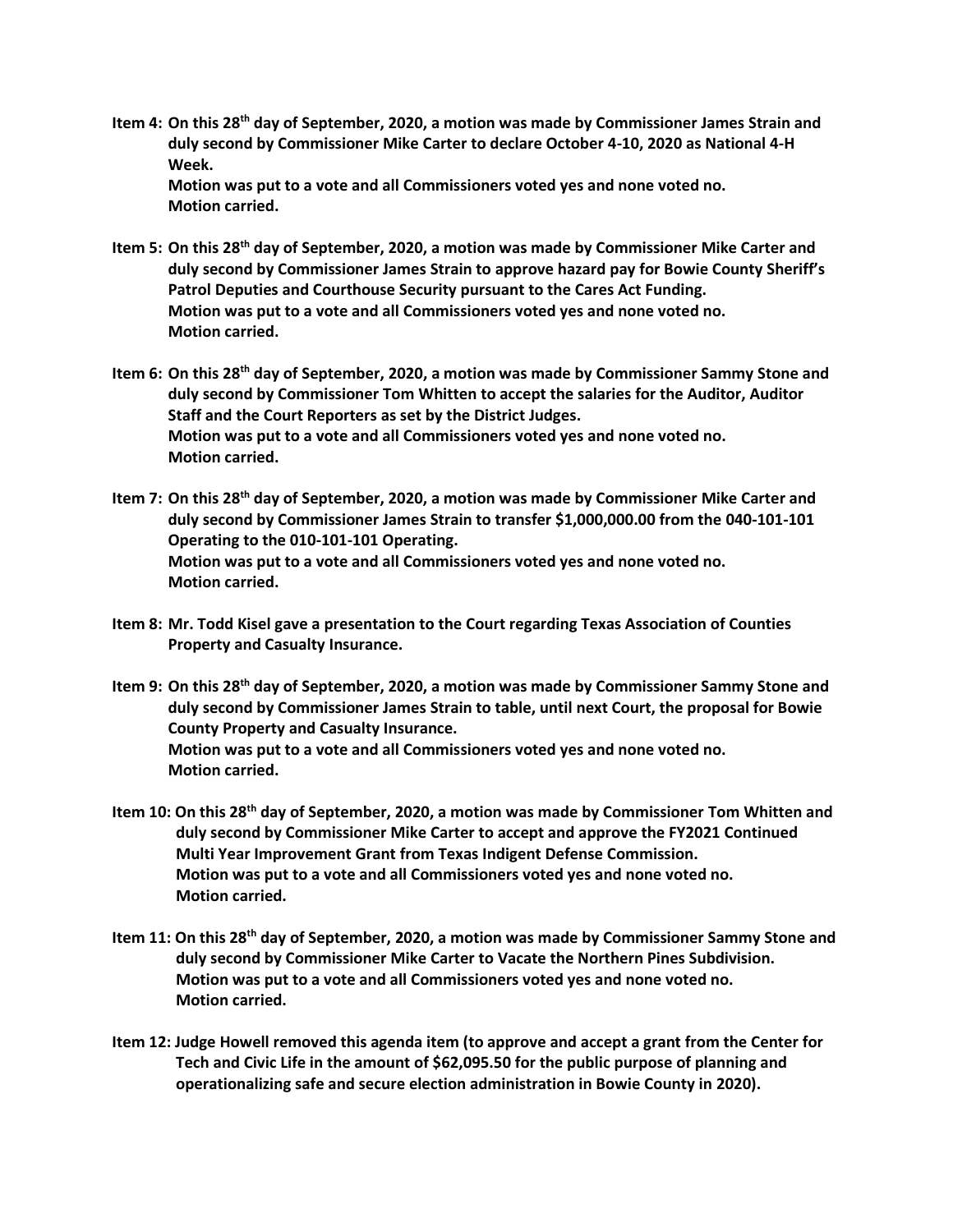**Item 4: On this 28th day of September, 2020, a motion was made by Commissioner James Strain and duly second by Commissioner Mike Carter to declare October 4-10, 2020 as National 4-H Week. Motion was put to a vote and all Commissioners voted yes and none voted no.**

**Motion carried.**

- **Item 5: On this 28th day of September, 2020, a motion was made by Commissioner Mike Carter and duly second by Commissioner James Strain to approve hazard pay for Bowie County Sheriff's Patrol Deputies and Courthouse Security pursuant to the Cares Act Funding. Motion was put to a vote and all Commissioners voted yes and none voted no. Motion carried.**
- **Item 6: On this 28th day of September, 2020, a motion was made by Commissioner Sammy Stone and duly second by Commissioner Tom Whitten to accept the salaries for the Auditor, Auditor Staff and the Court Reporters as set by the District Judges. Motion was put to a vote and all Commissioners voted yes and none voted no. Motion carried.**
- **Item 7: On this 28th day of September, 2020, a motion was made by Commissioner Mike Carter and duly second by Commissioner James Strain to transfer \$1,000,000.00 from the 040-101-101 Operating to the 010-101-101 Operating. Motion was put to a vote and all Commissioners voted yes and none voted no. Motion carried.**
- **Item 8: Mr. Todd Kisel gave a presentation to the Court regarding Texas Association of Counties Property and Casualty Insurance.**
- **Item 9: On this 28th day of September, 2020, a motion was made by Commissioner Sammy Stone and duly second by Commissioner James Strain to table, until next Court, the proposal for Bowie County Property and Casualty Insurance. Motion was put to a vote and all Commissioners voted yes and none voted no. Motion carried.**
- **Item 10: On this 28th day of September, 2020, a motion was made by Commissioner Tom Whitten and duly second by Commissioner Mike Carter to accept and approve the FY2021 Continued Multi Year Improvement Grant from Texas Indigent Defense Commission. Motion was put to a vote and all Commissioners voted yes and none voted no. Motion carried.**
- **Item 11: On this 28th day of September, 2020, a motion was made by Commissioner Sammy Stone and duly second by Commissioner Mike Carter to Vacate the Northern Pines Subdivision. Motion was put to a vote and all Commissioners voted yes and none voted no. Motion carried.**
- **Item 12: Judge Howell removed this agenda item (to approve and accept a grant from the Center for Tech and Civic Life in the amount of \$62,095.50 for the public purpose of planning and operationalizing safe and secure election administration in Bowie County in 2020).**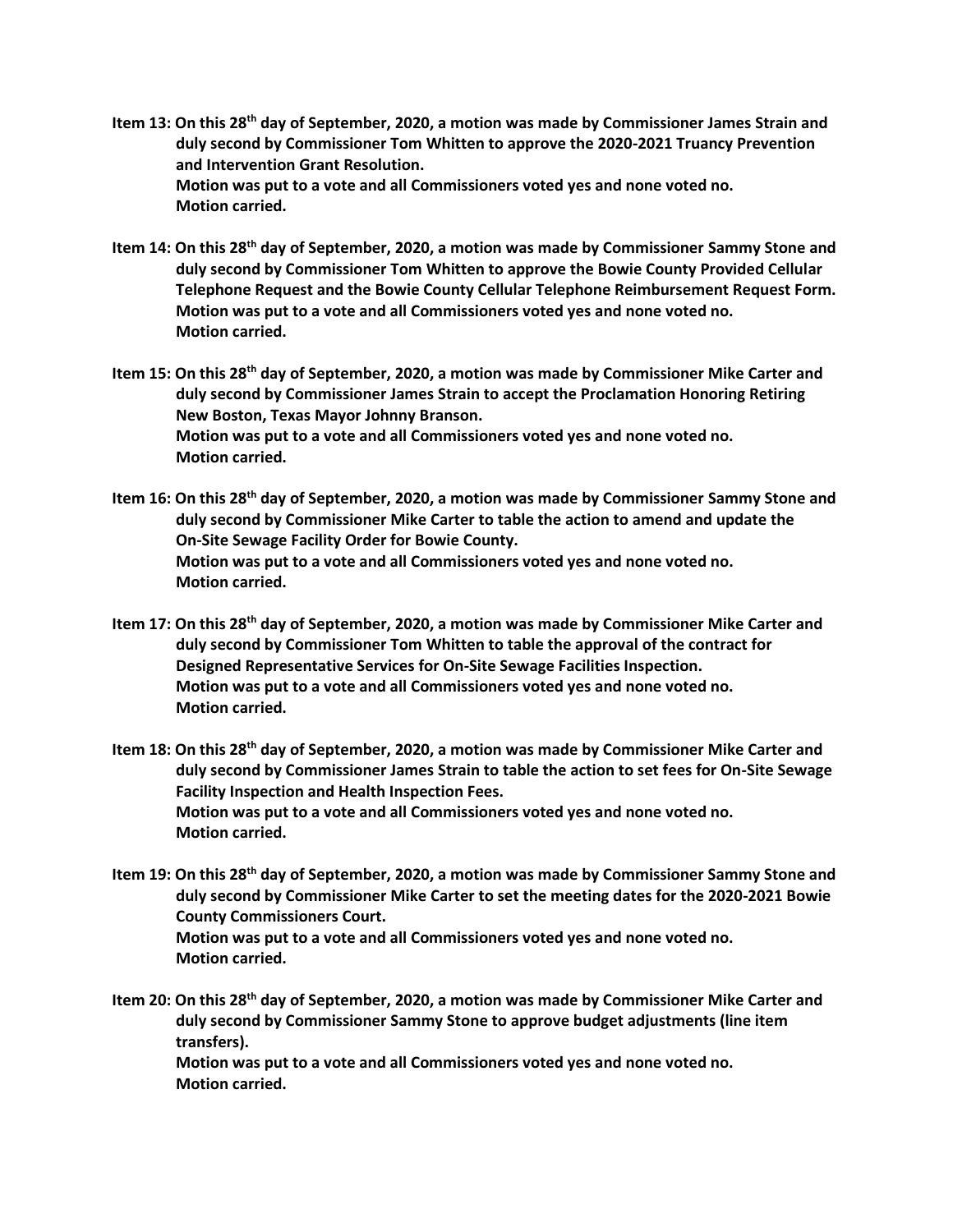- **Item 13: On this 28th day of September, 2020, a motion was made by Commissioner James Strain and duly second by Commissioner Tom Whitten to approve the 2020-2021 Truancy Prevention and Intervention Grant Resolution. Motion was put to a vote and all Commissioners voted yes and none voted no. Motion carried.**
- **Item 14: On this 28th day of September, 2020, a motion was made by Commissioner Sammy Stone and duly second by Commissioner Tom Whitten to approve the Bowie County Provided Cellular Telephone Request and the Bowie County Cellular Telephone Reimbursement Request Form. Motion was put to a vote and all Commissioners voted yes and none voted no. Motion carried.**
- **Item 15: On this 28th day of September, 2020, a motion was made by Commissioner Mike Carter and duly second by Commissioner James Strain to accept the Proclamation Honoring Retiring New Boston, Texas Mayor Johnny Branson. Motion was put to a vote and all Commissioners voted yes and none voted no. Motion carried.**
- **Item 16: On this 28th day of September, 2020, a motion was made by Commissioner Sammy Stone and duly second by Commissioner Mike Carter to table the action to amend and update the On-Site Sewage Facility Order for Bowie County. Motion was put to a vote and all Commissioners voted yes and none voted no. Motion carried.**
- **Item 17: On this 28th day of September, 2020, a motion was made by Commissioner Mike Carter and duly second by Commissioner Tom Whitten to table the approval of the contract for Designed Representative Services for On-Site Sewage Facilities Inspection. Motion was put to a vote and all Commissioners voted yes and none voted no. Motion carried.**
- **Item 18: On this 28th day of September, 2020, a motion was made by Commissioner Mike Carter and duly second by Commissioner James Strain to table the action to set fees for On-Site Sewage Facility Inspection and Health Inspection Fees. Motion was put to a vote and all Commissioners voted yes and none voted no. Motion carried.**
- **Item 19: On this 28th day of September, 2020, a motion was made by Commissioner Sammy Stone and duly second by Commissioner Mike Carter to set the meeting dates for the 2020-2021 Bowie County Commissioners Court. Motion was put to a vote and all Commissioners voted yes and none voted no. Motion carried.**
- **Item 20: On this 28th day of September, 2020, a motion was made by Commissioner Mike Carter and duly second by Commissioner Sammy Stone to approve budget adjustments (line item transfers).**

 **Motion was put to a vote and all Commissioners voted yes and none voted no. Motion carried.**